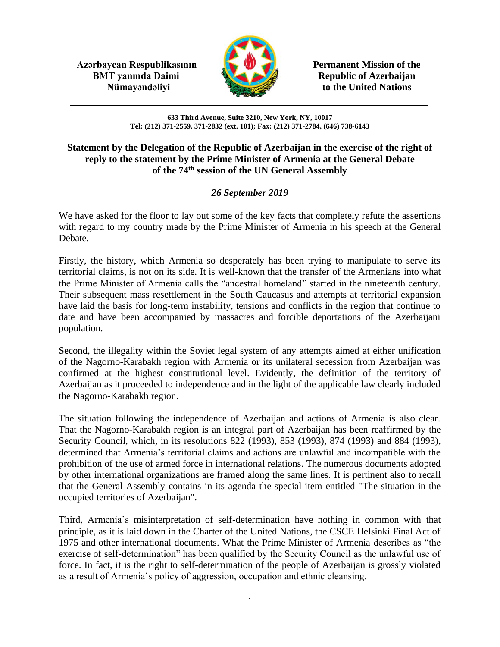**Azərbaycan Respublikasının Permanent Mission of the BMT yanında Daimi Republic of Azerbaijan** 



**Nümayəndəliyi** to the United Nations

**633 Third Avenue, Suite 3210, New York, NY, 10017 Tel: (212) 371-2559, 371-2832 (ext. 101); Fax: (212) 371-2784, (646) 738-6143**

## **Statement by the Delegation of the Republic of Azerbaijan in the exercise of the right of reply to the statement by the Prime Minister of Armenia at the General Debate of the 74th session of the UN General Assembly**

## *26 September 2019*

We have asked for the floor to lay out some of the key facts that completely refute the assertions with regard to my country made by the Prime Minister of Armenia in his speech at the General Debate.

Firstly, the history, which Armenia so desperately has been trying to manipulate to serve its territorial claims, is not on its side. It is well-known that the transfer of the Armenians into what the Prime Minister of Armenia calls the "ancestral homeland" started in the nineteenth century. Their subsequent mass resettlement in the South Caucasus and attempts at territorial expansion have laid the basis for long-term instability, tensions and conflicts in the region that continue to date and have been accompanied by massacres and forcible deportations of the Azerbaijani population.

Second, the illegality within the Soviet legal system of any attempts aimed at either unification of the Nagorno-Karabakh region with Armenia or its unilateral secession from Azerbaijan was confirmed at the highest constitutional level. Evidently, the definition of the territory of Azerbaijan as it proceeded to independence and in the light of the applicable law clearly included the Nagorno-Karabakh region.

The situation following the independence of Azerbaijan and actions of Armenia is also clear. That the Nagorno-Karabakh region is an integral part of Azerbaijan has been reaffirmed by the Security Council, which, in its resolutions 822 (1993), 853 (1993), 874 (1993) and 884 (1993), determined that Armenia's territorial claims and actions are unlawful and incompatible with the prohibition of the use of armed force in international relations. The numerous documents adopted by other international organizations are framed along the same lines. It is pertinent also to recall that the General Assembly contains in its agenda the special item entitled "The situation in the occupied territories of Azerbaijan".

Third, Armenia's misinterpretation of self-determination have nothing in common with that principle, as it is laid down in the Charter of the United Nations, the CSCE Helsinki Final Act of 1975 and other international documents. What the Prime Minister of Armenia describes as "the exercise of self-determination" has been qualified by the Security Council as the unlawful use of force. In fact, it is the right to self-determination of the people of Azerbaijan is grossly violated as a result of Armenia's policy of aggression, occupation and ethnic cleansing.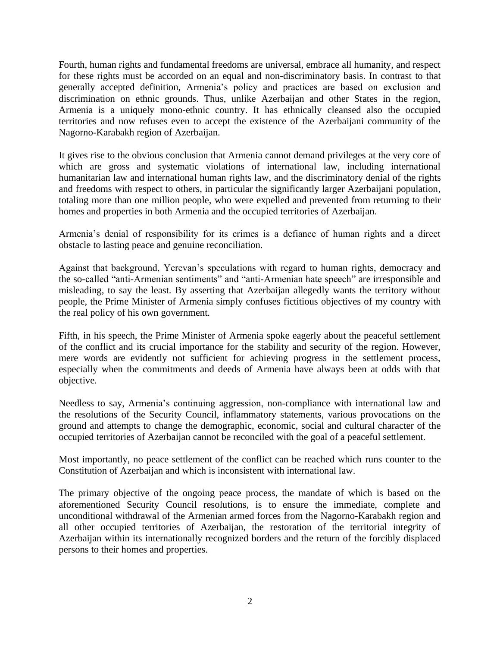Fourth, human rights and fundamental freedoms are universal, embrace all humanity, and respect for these rights must be accorded on an equal and non-discriminatory basis. In contrast to that generally accepted definition, Armenia's policy and practices are based on exclusion and discrimination on ethnic grounds. Thus, unlike Azerbaijan and other States in the region, Armenia is a uniquely mono-ethnic country. It has ethnically cleansed also the occupied territories and now refuses even to accept the existence of the Azerbaijani community of the Nagorno-Karabakh region of Azerbaijan.

It gives rise to the obvious conclusion that Armenia cannot demand privileges at the very core of which are gross and systematic violations of international law, including international humanitarian law and international human rights law, and the discriminatory denial of the rights and freedoms with respect to others, in particular the significantly larger Azerbaijani population, totaling more than one million people, who were expelled and prevented from returning to their homes and properties in both Armenia and the occupied territories of Azerbaijan.

Armenia's denial of responsibility for its crimes is a defiance of human rights and a direct obstacle to lasting peace and genuine reconciliation.

Against that background, Yerevan's speculations with regard to human rights, democracy and the so-called "anti-Armenian sentiments" and "anti-Armenian hate speech" are irresponsible and misleading, to say the least. By asserting that Azerbaijan allegedly wants the territory without people, the Prime Minister of Armenia simply confuses fictitious objectives of my country with the real policy of his own government.

Fifth, in his speech, the Prime Minister of Armenia spoke eagerly about the peaceful settlement of the conflict and its crucial importance for the stability and security of the region. However, mere words are evidently not sufficient for achieving progress in the settlement process, especially when the commitments and deeds of Armenia have always been at odds with that objective.

Needless to say, Armenia's continuing aggression, non-compliance with international law and the resolutions of the Security Council, inflammatory statements, various provocations on the ground and attempts to change the demographic, economic, social and cultural character of the occupied territories of Azerbaijan cannot be reconciled with the goal of a peaceful settlement.

Most importantly, no peace settlement of the conflict can be reached which runs counter to the Constitution of Azerbaijan and which is inconsistent with international law.

The primary objective of the ongoing peace process, the mandate of which is based on the aforementioned Security Council resolutions, is to ensure the immediate, complete and unconditional withdrawal of the Armenian armed forces from the Nagorno-Karabakh region and all other occupied territories of Azerbaijan, the restoration of the territorial integrity of Azerbaijan within its internationally recognized borders and the return of the forcibly displaced persons to their homes and properties.